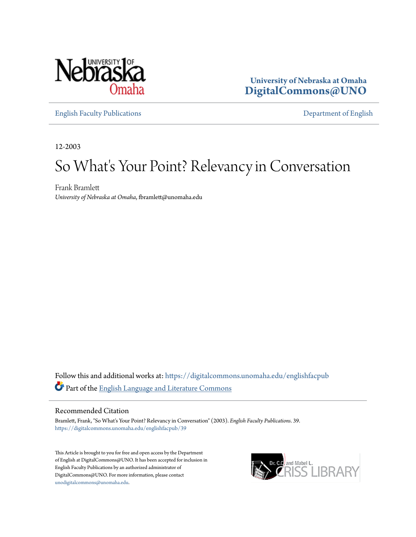

**University of Nebraska at Omaha [DigitalCommons@UNO](https://digitalcommons.unomaha.edu?utm_source=digitalcommons.unomaha.edu%2Fenglishfacpub%2F39&utm_medium=PDF&utm_campaign=PDFCoverPages)**

[English Faculty Publications](https://digitalcommons.unomaha.edu/englishfacpub?utm_source=digitalcommons.unomaha.edu%2Fenglishfacpub%2F39&utm_medium=PDF&utm_campaign=PDFCoverPages) [Department of English](https://digitalcommons.unomaha.edu/english?utm_source=digitalcommons.unomaha.edu%2Fenglishfacpub%2F39&utm_medium=PDF&utm_campaign=PDFCoverPages)

12-2003

## So What's Your Point? Relevancy in Conversation

Frank Bramlett *University of Nebraska at Omaha*, fbramlett@unomaha.edu

Follow this and additional works at: [https://digitalcommons.unomaha.edu/englishfacpub](https://digitalcommons.unomaha.edu/englishfacpub?utm_source=digitalcommons.unomaha.edu%2Fenglishfacpub%2F39&utm_medium=PDF&utm_campaign=PDFCoverPages) Part of the [English Language and Literature Commons](http://network.bepress.com/hgg/discipline/455?utm_source=digitalcommons.unomaha.edu%2Fenglishfacpub%2F39&utm_medium=PDF&utm_campaign=PDFCoverPages)

## Recommended Citation

Bramlett, Frank, "So What's Your Point? Relevancy in Conversation" (2003). *English Faculty Publications*. 39. [https://digitalcommons.unomaha.edu/englishfacpub/39](https://digitalcommons.unomaha.edu/englishfacpub/39?utm_source=digitalcommons.unomaha.edu%2Fenglishfacpub%2F39&utm_medium=PDF&utm_campaign=PDFCoverPages)

This Article is brought to you for free and open access by the Department of English at DigitalCommons@UNO. It has been accepted for inclusion in English Faculty Publications by an authorized administrator of DigitalCommons@UNO. For more information, please contact [unodigitalcommons@unomaha.edu](mailto:unodigitalcommons@unomaha.edu).